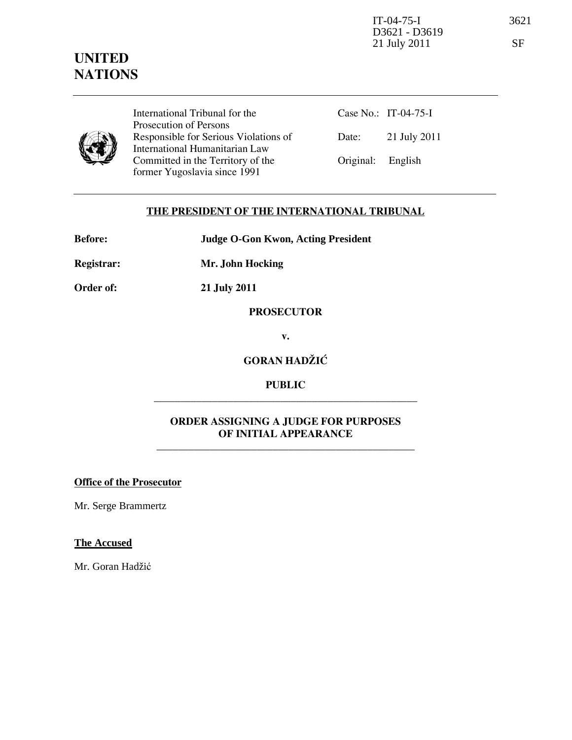IT-04-75-I 3621 D3621 - D3619 21 July 2011 SF

# UNITED **NATIONS**

International Tribunal for the Prosecution of Persons Responsible for Serious Violations of International Humanitarian Law Committed in the Territory of the former Yugoslavia since 1991

Case No.: IT-04-75-I Date: 21 July 2011 Original: English

## THE PRESIDENT OF THE INTERNATIONAL TRIBUNAL

Before: **Judge O-Gon Kwon, Acting President**

Registrar: Mr. John Hocking

Order of: 21 July 2011

#### **PROSECUTOR**

v.

### GORAN HADŽIĆ

#### PUBLIC \_\_\_\_\_\_\_\_\_\_\_\_\_\_\_\_\_\_\_\_\_\_\_\_\_\_\_\_\_\_\_\_\_\_\_\_\_\_\_\_\_\_\_\_\_\_\_\_\_\_

## ORDER ASSIGNING A JUDGE FOR PURPOSES OF INITIAL APPEARANCE

\_\_\_\_\_\_\_\_\_\_\_\_\_\_\_\_\_\_\_\_\_\_\_\_\_\_\_\_\_\_\_\_\_\_\_\_\_\_\_\_\_\_\_\_\_\_\_\_\_

#### Office of the Prosecutor

Mr. Serge Brammertz

#### **The Accused**

Mr. Goran Hadžić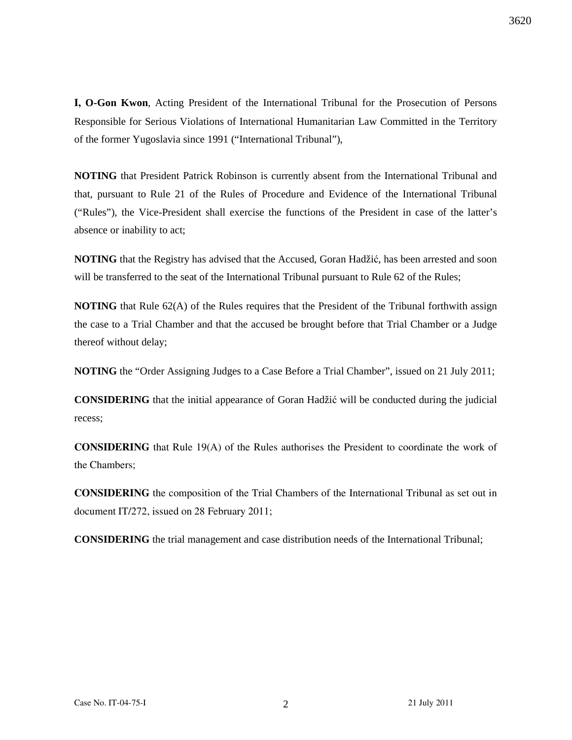I, **O-Gon Kwon**, Acting President of the International Tribunal for the Prosecution of Persons Responsible for Serious Violations of International Humanitarian Law Committed in the Territory of the former Yugoslavia since 1991 ("International Tribunal"),

**NOTING** that President Patrick Robinson is currently absent from the International Tribunal and that, pursuant to Rule 21 of the Rules of Procedure and Evidence of the International Tribunal ("Rules"), the Vice-President shall exercise the functions of the President in case of the latter's absence or inability to act;

**NOTING** that the Registry has advised that the Accused, Goran Hadžić, has been arrested and soon will be transferred to the seat of the International Tribunal pursuant to Rule 62 of the Rules;

**NOTING** that Rule 62(A) of the Rules requires that the President of the Tribunal forthwith assign the case to a Trial Chamber and that the accused be brought before that Trial Chamber or a Judge thereof without delay;

**NOTING** the "Order Assigning Judges to a Case Before a Trial Chamber", issued on 21 July 2011;

**CONSIDERING** that the initial appearance of Goran Hadžić will be conducted during the judicial recess;

CONSIDERING that Rule 19(A) of the Rules authorises the President to coordinate the work of the Chambers;

CONSIDERING the composition of the Trial Chambers of the International Tribunal as set out in document IT/272, issued on 28 February 2011;

**CONSIDERING** the trial management and case distribution needs of the International Tribunal;